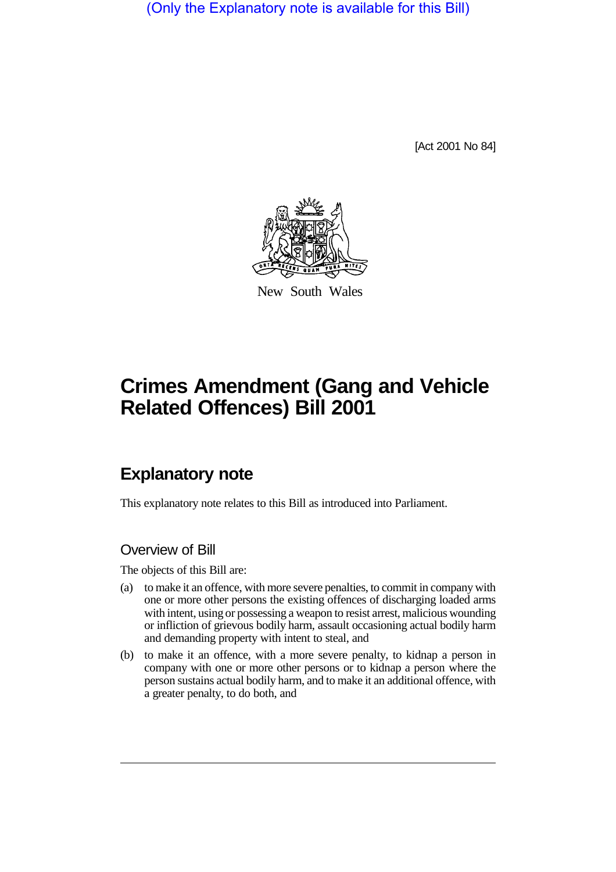(Only the Explanatory note is available for this Bill)

[Act 2001 No 84]



New South Wales

# **Crimes Amendment (Gang and Vehicle Related Offences) Bill 2001**

## **Explanatory note**

This explanatory note relates to this Bill as introduced into Parliament.

## Overview of Bill

The objects of this Bill are:

- (a) to make it an offence, with more severe penalties, to commit in company with one or more other persons the existing offences of discharging loaded arms with intent, using or possessing a weapon to resist arrest, malicious wounding or infliction of grievous bodily harm, assault occasioning actual bodily harm and demanding property with intent to steal, and
- (b) to make it an offence, with a more severe penalty, to kidnap a person in company with one or more other persons or to kidnap a person where the person sustains actual bodily harm, and to make it an additional offence, with a greater penalty, to do both, and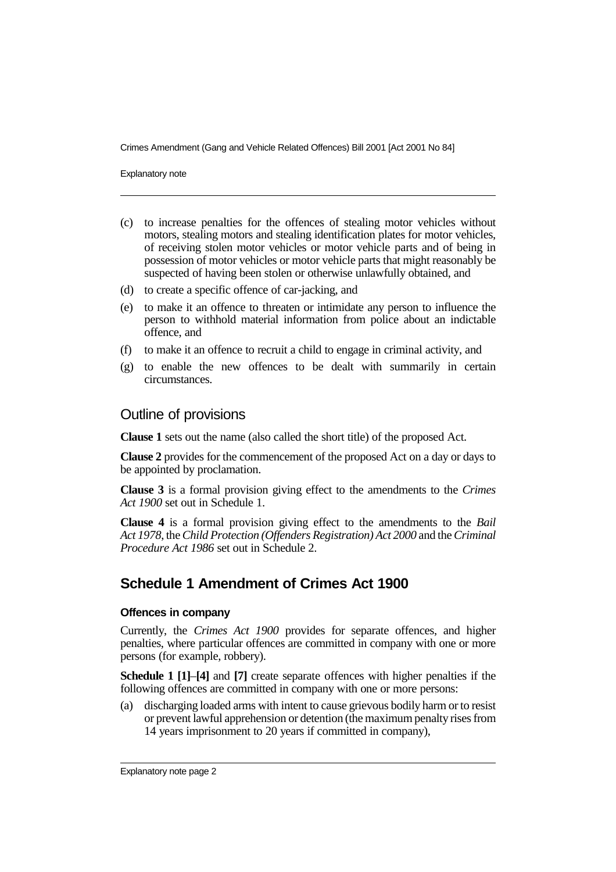Explanatory note

- (c) to increase penalties for the offences of stealing motor vehicles without motors, stealing motors and stealing identification plates for motor vehicles, of receiving stolen motor vehicles or motor vehicle parts and of being in possession of motor vehicles or motor vehicle parts that might reasonably be suspected of having been stolen or otherwise unlawfully obtained, and
- (d) to create a specific offence of car-jacking, and
- (e) to make it an offence to threaten or intimidate any person to influence the person to withhold material information from police about an indictable offence, and
- (f) to make it an offence to recruit a child to engage in criminal activity, and
- (g) to enable the new offences to be dealt with summarily in certain circumstances.

#### Outline of provisions

**Clause 1** sets out the name (also called the short title) of the proposed Act.

**Clause 2** provides for the commencement of the proposed Act on a day or days to be appointed by proclamation.

**Clause 3** is a formal provision giving effect to the amendments to the *Crimes Act 1900* set out in Schedule 1.

**Clause 4** is a formal provision giving effect to the amendments to the *Bail Act 1978*, the *Child Protection (Offenders Registration) Act 2000* and the *Criminal Procedure Act 1986* set out in Schedule 2.

## **Schedule 1 Amendment of Crimes Act 1900**

#### **Offences in company**

Currently, the *Crimes Act 1900* provides for separate offences, and higher penalties, where particular offences are committed in company with one or more persons (for example, robbery).

**Schedule 1 [1]**–**[4]** and **[7]** create separate offences with higher penalties if the following offences are committed in company with one or more persons:

(a) discharging loaded arms with intent to cause grievous bodily harm or to resist or prevent lawful apprehension or detention (the maximum penalty rises from 14 years imprisonment to 20 years if committed in company),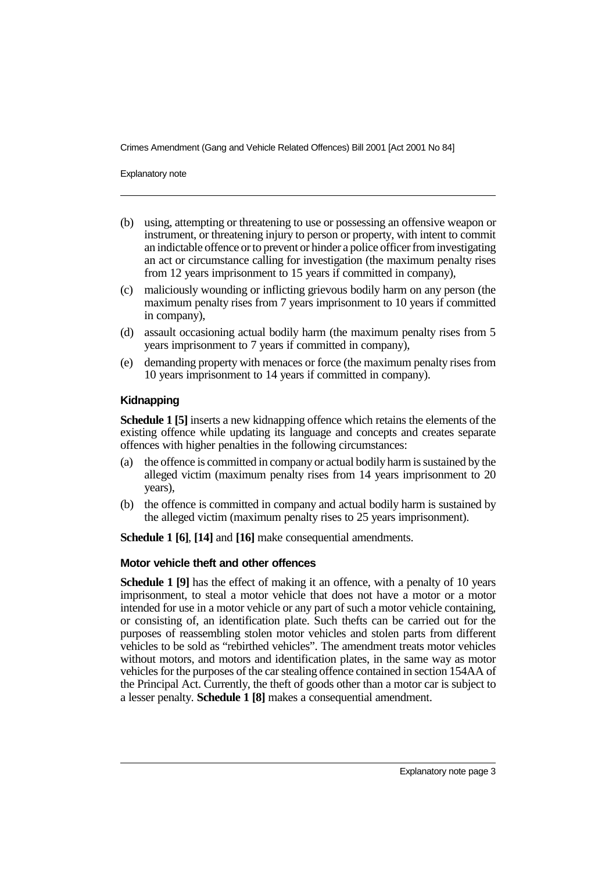Explanatory note

- (b) using, attempting or threatening to use or possessing an offensive weapon or instrument, or threatening injury to person or property, with intent to commit an indictable offence or to prevent or hinder a police officer from investigating an act or circumstance calling for investigation (the maximum penalty rises from 12 years imprisonment to 15 years if committed in company),
- (c) maliciously wounding or inflicting grievous bodily harm on any person (the maximum penalty rises from 7 years imprisonment to 10 years if committed in company),
- (d) assault occasioning actual bodily harm (the maximum penalty rises from 5 years imprisonment to 7 years if committed in company),
- (e) demanding property with menaces or force (the maximum penalty rises from 10 years imprisonment to 14 years if committed in company).

#### **Kidnapping**

**Schedule 1 [5]** inserts a new kidnapping offence which retains the elements of the existing offence while updating its language and concepts and creates separate offences with higher penalties in the following circumstances:

- (a) the offence is committed in company or actual bodily harm is sustained by the alleged victim (maximum penalty rises from 14 years imprisonment to 20 years),
- (b) the offence is committed in company and actual bodily harm is sustained by the alleged victim (maximum penalty rises to 25 years imprisonment).

**Schedule 1 [6]**, **[14]** and **[16]** make consequential amendments.

#### **Motor vehicle theft and other offences**

**Schedule 1 [9]** has the effect of making it an offence, with a penalty of 10 years imprisonment, to steal a motor vehicle that does not have a motor or a motor intended for use in a motor vehicle or any part of such a motor vehicle containing, or consisting of, an identification plate. Such thefts can be carried out for the purposes of reassembling stolen motor vehicles and stolen parts from different vehicles to be sold as "rebirthed vehicles". The amendment treats motor vehicles without motors, and motors and identification plates, in the same way as motor vehicles for the purposes of the car stealing offence contained in section 154AA of the Principal Act. Currently, the theft of goods other than a motor car is subject to a lesser penalty. **Schedule 1 [8]** makes a consequential amendment.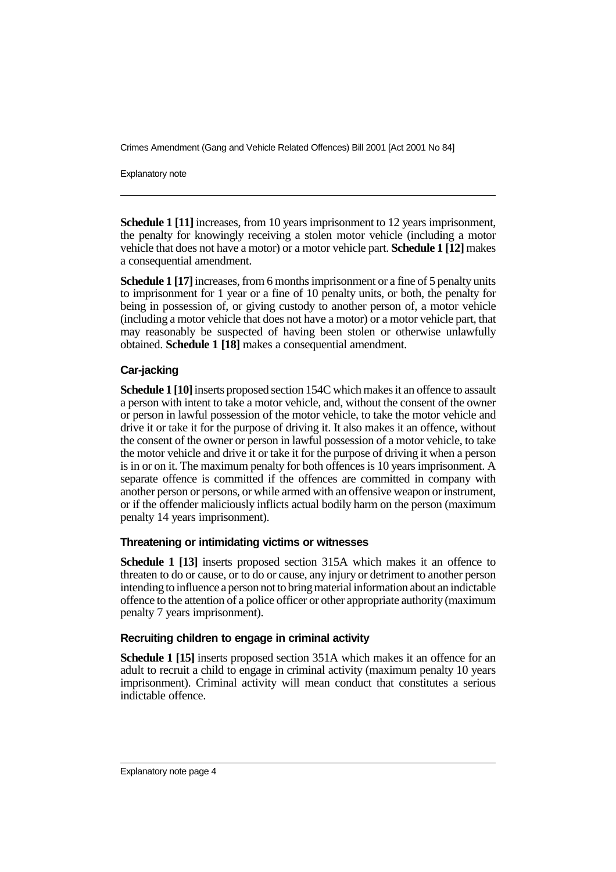Explanatory note

**Schedule 1 [11]** increases, from 10 years imprisonment to 12 years imprisonment, the penalty for knowingly receiving a stolen motor vehicle (including a motor vehicle that does not have a motor) or a motor vehicle part. **Schedule 1 [12]** makes a consequential amendment.

**Schedule 1 [17]** increases, from 6 months imprisonment or a fine of 5 penalty units to imprisonment for 1 year or a fine of 10 penalty units, or both, the penalty for being in possession of, or giving custody to another person of, a motor vehicle (including a motor vehicle that does not have a motor) or a motor vehicle part, that may reasonably be suspected of having been stolen or otherwise unlawfully obtained. **Schedule 1 [18]** makes a consequential amendment.

#### **Car-jacking**

**Schedule 1 [10]** inserts proposed section 154C which makes it an offence to assault a person with intent to take a motor vehicle, and, without the consent of the owner or person in lawful possession of the motor vehicle, to take the motor vehicle and drive it or take it for the purpose of driving it. It also makes it an offence, without the consent of the owner or person in lawful possession of a motor vehicle, to take the motor vehicle and drive it or take it for the purpose of driving it when a person is in or on it. The maximum penalty for both offences is 10 years imprisonment. A separate offence is committed if the offences are committed in company with another person or persons, or while armed with an offensive weapon or instrument, or if the offender maliciously inflicts actual bodily harm on the person (maximum penalty 14 years imprisonment).

#### **Threatening or intimidating victims or witnesses**

**Schedule 1 [13]** inserts proposed section 315A which makes it an offence to threaten to do or cause, or to do or cause, any injury or detriment to another person intending to influence a person not to bring material information about an indictable offence to the attention of a police officer or other appropriate authority (maximum penalty 7 years imprisonment).

#### **Recruiting children to engage in criminal activity**

**Schedule 1 [15]** inserts proposed section 351A which makes it an offence for an adult to recruit a child to engage in criminal activity (maximum penalty 10 years imprisonment). Criminal activity will mean conduct that constitutes a serious indictable offence.